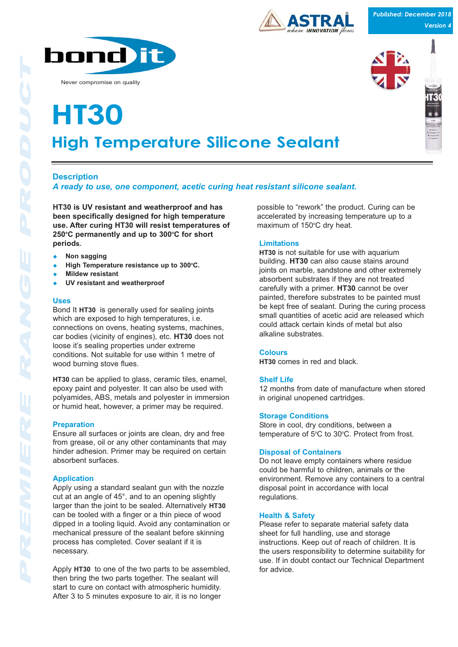

Never compromise on quality

# **High Temperature Silicone Sealant High Ten**

## **Description**

## *A ready to use, one component, acetic curing heat resistant silicone sealant.*

**HT30 is UV resistant and weatherproof and has been specifically designed for high temperature use. After curing HT30 will resist temperatures of** 250°C permanently and up to 300°C for short **periods.**

- **Non sagging**
- ◆ High Temperature resistance up to 300°C.
- **Mildew resistant**
- **UV resistant and weatherproof**

#### **Uses**

Bond It **HT30** is generally used for sealing joints which are exposed to high temperatures, i.e. connections on ovens, heating systems, machines, car bodies (vicinity of engines), etc. **HT30** does not loose it's sealing properties under extreme conditions. Not suitable for use within 1 metre of wood burning stove flues.

**HT30** can be applied to glass, ceramic tiles, enamel, epoxy paint and polyester. It can also be used with polyamides, ABS, metals and polyester in immersion or humid heat, however, a primer may be required.

## **Preparation**

Ensure all surfaces or joints are clean, dry and free from grease, oil or any other contaminants that may hinder adhesion. Primer may be required on certain absorbent surfaces.

## **Application**

Apply using a standard sealant gun with the nozzle cut at an angle of 45°, and to an opening slightly larger than the joint to be sealed. Alternatively **HT30** can be tooled with a finger or a thin piece of wood dipped in a tooling liquid. Avoid any contamination or mechanical pressure of the sealant before skinning process has completed. Cover sealant if it is necessary.

Apply **HT30** to one of the two parts to be assembled, then bring the two parts together. The sealant will start to cure on contact with atmospheric humidity. After 3 to 5 minutes exposure to air, it is no longer

possible to "rework" the product. Curing can be accelerated by increasing temperature up to a maximum of 150°C dry heat.

**INNOVATION** flows

## **Limitations**

**HT30** is not suitable for use with aquarium building. **HT30** can also cause stains around joints on marble, sandstone and other extremely absorbent substrates if they are not treated carefully with a primer. **HT30** cannot be over painted, therefore substrates to be painted must be kept free of sealant. During the curing process small quantities of acetic acid are released which could attack certain kinds of metal but also alkaline substrates.

## **Colours**

**HT30** comes in red and black.

## **Shelf Life**

12 months from date of manufacture when stored in original unopened cartridges.

## **Storage Conditions**

Store in cool, dry conditions, between a temperature of  $5^{\circ}$ C to 30 $^{\circ}$ C. Protect from frost.

## **Disposal of Containers**

Do not leave empty containers where residue could be harmful to children, animals or the environment. Remove any containers to a central disposal point in accordance with local regulations.

## **Health & Safety**

Please refer to separate material safety data sheet for full handling, use and storage instructions. Keep out of reach of children. It is the users responsibility to determine suitability for use. If in doubt contact our Technical Department for advice.

*Published: December 2018 Version 4*